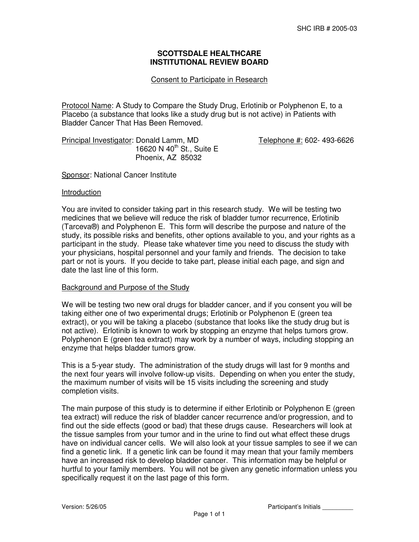# **SCOTTSDALE HEALTHCARE INSTITUTIONAL REVIEW BOARD**

## Consent to Participate in Research

Protocol Name: A Study to Compare the Study Drug, Erlotinib or Polyphenon E, to a Placebo (a substance that looks like a study drug but is not active) in Patients with Bladder Cancer That Has Been Removed.

Principal Investigator: Donald Lamm, MD Telephone #: 602- 493-6626 16620 N  $40^{th}$  St., Suite E Phoenix, AZ 85032

Sponsor: National Cancer Institute

#### Introduction

You are invited to consider taking part in this research study. We will be testing two medicines that we believe will reduce the risk of bladder tumor recurrence, Erlotinib (Tarceva®) and Polyphenon E. This form will describe the purpose and nature of the study, its possible risks and benefits, other options available to you, and your rights as a participant in the study. Please take whatever time you need to discuss the study with your physicians, hospital personnel and your family and friends. The decision to take part or not is yours. If you decide to take part, please initial each page, and sign and date the last line of this form.

#### Background and Purpose of the Study

We will be testing two new oral drugs for bladder cancer, and if you consent you will be taking either one of two experimental drugs; Erlotinib or Polyphenon E (green tea extract), or you will be taking a placebo (substance that looks like the study drug but is not active). Erlotinib is known to work by stopping an enzyme that helps tumors grow. Polyphenon E (green tea extract) may work by a number of ways, including stopping an enzyme that helps bladder tumors grow.

This is a 5-year study. The administration of the study drugs will last for 9 months and the next four years will involve follow-up visits. Depending on when you enter the study, the maximum number of visits will be 15 visits including the screening and study completion visits.

The main purpose of this study is to determine if either Erlotinib or Polyphenon E (green tea extract) will reduce the risk of bladder cancer recurrence and/or progression, and to find out the side effects (good or bad) that these drugs cause. Researchers will look at the tissue samples from your tumor and in the urine to find out what effect these drugs have on individual cancer cells. We will also look at your tissue samples to see if we can find a genetic link. If a genetic link can be found it may mean that your family members have an increased risk to develop bladder cancer. This information may be helpful or hurtful to your family members. You will not be given any genetic information unless you specifically request it on the last page of this form.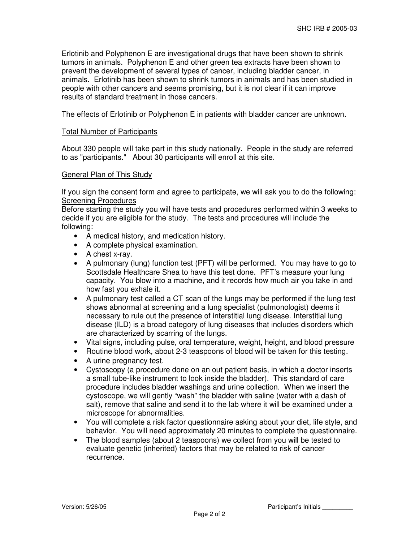Erlotinib and Polyphenon E are investigational drugs that have been shown to shrink tumors in animals. Polyphenon E and other green tea extracts have been shown to prevent the development of several types of cancer, including bladder cancer, in animals. Erlotinib has been shown to shrink tumors in animals and has been studied in people with other cancers and seems promising, but it is not clear if it can improve results of standard treatment in those cancers.

The effects of Erlotinib or Polyphenon E in patients with bladder cancer are unknown.

### Total Number of Participants

About 330 people will take part in this study nationally. People in the study are referred to as "participants." About 30 participants will enroll at this site.

### General Plan of This Study

If you sign the consent form and agree to participate, we will ask you to do the following: Screening Procedures

Before starting the study you will have tests and procedures performed within 3 weeks to decide if you are eligible for the study. The tests and procedures will include the following:

- A medical history, and medication history.
- A complete physical examination.
- A chest x-ray.
- A pulmonary (lung) function test (PFT) will be performed. You may have to go to Scottsdale Healthcare Shea to have this test done. PFT's measure your lung capacity. You blow into a machine, and it records how much air you take in and how fast you exhale it.
- A pulmonary test called a CT scan of the lungs may be performed if the lung test shows abnormal at screening and a lung specialist (pulmonologist) deems it necessary to rule out the presence of interstitial lung disease. Interstitial lung disease (ILD) is a broad category of lung diseases that includes disorders which are characterized by scarring of the lungs.
- Vital signs, including pulse, oral temperature, weight, height, and blood pressure
- Routine blood work, about 2-3 teaspoons of blood will be taken for this testing.
- A urine pregnancy test.
- Cystoscopy (a procedure done on an out patient basis, in which a doctor inserts a small tube-like instrument to look inside the bladder). This standard of care procedure includes bladder washings and urine collection. When we insert the cystoscope, we will gently "wash" the bladder with saline (water with a dash of salt), remove that saline and send it to the lab where it will be examined under a microscope for abnormalities.
- You will complete a risk factor questionnaire asking about your diet, life style, and behavior. You will need approximately 20 minutes to complete the questionnaire.
- The blood samples (about 2 teaspoons) we collect from you will be tested to evaluate genetic (inherited) factors that may be related to risk of cancer recurrence.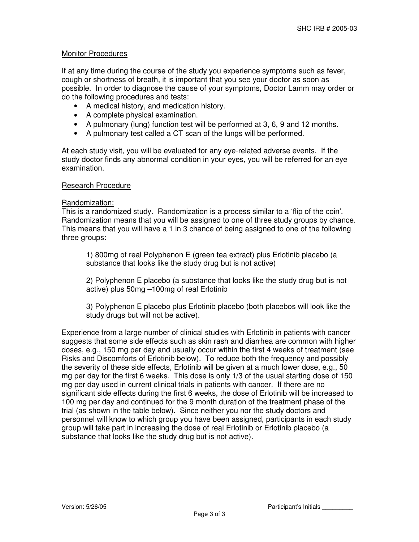# Monitor Procedures

If at any time during the course of the study you experience symptoms such as fever, cough or shortness of breath, it is important that you see your doctor as soon as possible. In order to diagnose the cause of your symptoms, Doctor Lamm may order or do the following procedures and tests:

- A medical history, and medication history.
- A complete physical examination.
- A pulmonary (lung) function test will be performed at 3, 6, 9 and 12 months.
- A pulmonary test called a CT scan of the lungs will be performed.

At each study visit, you will be evaluated for any eye-related adverse events. If the study doctor finds any abnormal condition in your eyes, you will be referred for an eye examination.

### Research Procedure

### Randomization:

This is a randomized study. Randomization is a process similar to a 'flip of the coin'. Randomization means that you will be assigned to one of three study groups by chance. This means that you will have a 1 in 3 chance of being assigned to one of the following three groups:

1) 800mg of real Polyphenon E (green tea extract) plus Erlotinib placebo (a substance that looks like the study drug but is not active)

2) Polyphenon E placebo (a substance that looks like the study drug but is not active) plus 50mg –100mg of real Erlotinib

3) Polyphenon E placebo plus Erlotinib placebo (both placebos will look like the study drugs but will not be active).

Experience from a large number of clinical studies with Erlotinib in patients with cancer suggests that some side effects such as skin rash and diarrhea are common with higher doses, e.g., 150 mg per day and usually occur within the first 4 weeks of treatment (see Risks and Discomforts of Erlotinib below). To reduce both the frequency and possibly the severity of these side effects, Erlotinib will be given at a much lower dose, e.g., 50 mg per day for the first 6 weeks. This dose is only 1/3 of the usual starting dose of 150 mg per day used in current clinical trials in patients with cancer. If there are no significant side effects during the first 6 weeks, the dose of Erlotinib will be increased to 100 mg per day and continued for the 9 month duration of the treatment phase of the trial (as shown in the table below). Since neither you nor the study doctors and personnel will know to which group you have been assigned, participants in each study group will take part in increasing the dose of real Erlotinib or Erlotinib placebo (a substance that looks like the study drug but is not active).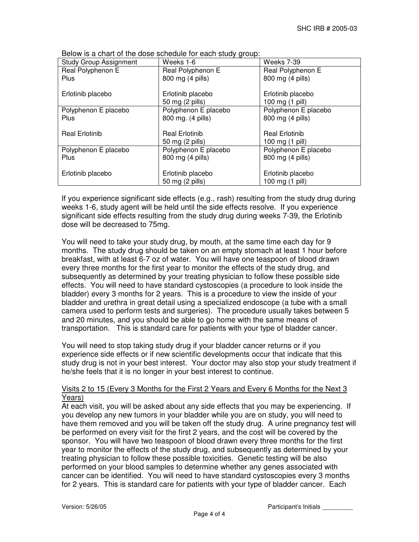| <b>Study Group Assignment</b> | Weeks 1-6                                | Weeks 7-39                               |
|-------------------------------|------------------------------------------|------------------------------------------|
| Real Polyphenon E             | Real Polyphenon E                        | Real Polyphenon E                        |
| <b>Plus</b>                   | 800 mg (4 pills)                         | 800 mg (4 pills)                         |
| Erlotinib placebo             | Erlotinib placebo<br>50 mg (2 pills)     | Erlotinib placebo<br>100 mg (1 pill)     |
| Polyphenon E placebo          | Polyphenon E placebo                     | Polyphenon E placebo                     |
| <b>Plus</b>                   | 800 mg. (4 pills)                        | 800 mg (4 pills)                         |
| <b>Real Erlotinib</b>         | <b>Real Erlotinib</b><br>50 mg (2 pills) | <b>Real Erlotinib</b><br>100 mg (1 pill) |
| Polyphenon E placebo          | Polyphenon E placebo                     | Polyphenon E placebo                     |
| <b>Plus</b>                   | 800 mg (4 pills)                         | 800 mg (4 pills)                         |
| Erlotinib placebo             | Erlotinib placebo<br>50 mg (2 pills)     | Erlotinib placebo<br>100 mg (1 pill)     |

Below is a chart of the dose schedule for each study group:

If you experience significant side effects (e.g., rash) resulting from the study drug during weeks 1-6, study agent will be held until the side effects resolve. If you experience significant side effects resulting from the study drug during weeks 7-39, the Erlotinib dose will be decreased to 75mg.

You will need to take your study drug, by mouth, at the same time each day for 9 months. The study drug should be taken on an empty stomach at least 1 hour before breakfast, with at least 6-7 oz of water. You will have one teaspoon of blood drawn every three months for the first year to monitor the effects of the study drug, and subsequently as determined by your treating physician to follow these possible side effects. You will need to have standard cystoscopies (a procedure to look inside the bladder) every 3 months for 2 years. This is a procedure to view the inside of your bladder and urethra in great detail using a specialized endoscope (a tube with a small camera used to perform tests and surgeries). The procedure usually takes between 5 and 20 minutes, and you should be able to go home with the same means of transportation. This is standard care for patients with your type of bladder cancer.

You will need to stop taking study drug if your bladder cancer returns or if you experience side effects or if new scientific developments occur that indicate that this study drug is not in your best interest. Your doctor may also stop your study treatment if he/she feels that it is no longer in your best interest to continue.

# Visits 2 to 15 (Every 3 Months for the First 2 Years and Every 6 Months for the Next 3 Years)

At each visit, you will be asked about any side effects that you may be experiencing. If you develop any new tumors in your bladder while you are on study, you will need to have them removed and you will be taken off the study drug. A urine pregnancy test will be performed on every visit for the first 2 years, and the cost will be covered by the sponsor. You will have two teaspoon of blood drawn every three months for the first year to monitor the effects of the study drug, and subsequently as determined by your treating physician to follow these possible toxicities. Genetic testing will be also performed on your blood samples to determine whether any genes associated with cancer can be identified. You will need to have standard cystoscopies every 3 months for 2 years. This is standard care for patients with your type of bladder cancer. Each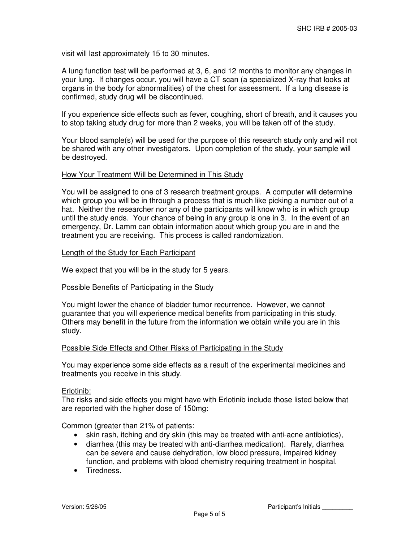visit will last approximately 15 to 30 minutes.

A lung function test will be performed at 3, 6, and 12 months to monitor any changes in your lung. If changes occur, you will have a CT scan (a specialized X-ray that looks at organs in the body for abnormalities) of the chest for assessment. If a lung disease is confirmed, study drug will be discontinued.

If you experience side effects such as fever, coughing, short of breath, and it causes you to stop taking study drug for more than 2 weeks, you will be taken off of the study.

Your blood sample(s) will be used for the purpose of this research study only and will not be shared with any other investigators. Upon completion of the study, your sample will be destroyed.

## How Your Treatment Will be Determined in This Study

You will be assigned to one of 3 research treatment groups. A computer will determine which group you will be in through a process that is much like picking a number out of a hat. Neither the researcher nor any of the participants will know who is in which group until the study ends. Your chance of being in any group is one in 3. In the event of an emergency, Dr. Lamm can obtain information about which group you are in and the treatment you are receiving. This process is called randomization.

## Length of the Study for Each Participant

We expect that you will be in the study for 5 years.

## Possible Benefits of Participating in the Study

You might lower the chance of bladder tumor recurrence. However, we cannot guarantee that you will experience medical benefits from participating in this study. Others may benefit in the future from the information we obtain while you are in this study.

## Possible Side Effects and Other Risks of Participating in the Study

You may experience some side effects as a result of the experimental medicines and treatments you receive in this study.

## Erlotinib:

The risks and side effects you might have with Erlotinib include those listed below that are reported with the higher dose of 150mg:

Common (greater than 21% of patients:

- skin rash, itching and dry skin (this may be treated with anti-acne antibiotics),
- diarrhea (this may be treated with anti-diarrhea medication). Rarely, diarrhea can be severe and cause dehydration, low blood pressure, impaired kidney function, and problems with blood chemistry requiring treatment in hospital.
- Tiredness.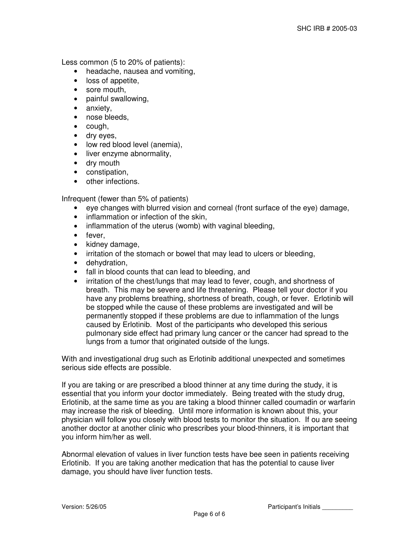Less common (5 to 20% of patients):

- headache, nausea and vomiting,
- loss of appetite,
- sore mouth,
- painful swallowing,
- anxiety,
- nose bleeds,
- cough,
- dry eyes,
- low red blood level (anemia),
- liver enzyme abnormality,
- dry mouth
- constipation,
- other infections.

Infrequent (fewer than 5% of patients)

- eye changes with blurred vision and corneal (front surface of the eye) damage,
- inflammation or infection of the skin,
- inflammation of the uterus (womb) with vaginal bleeding,
- fever,
- kidney damage,
- irritation of the stomach or bowel that may lead to ulcers or bleeding,
- dehydration,
- fall in blood counts that can lead to bleeding, and
- irritation of the chest/lungs that may lead to fever, cough, and shortness of breath. This may be severe and life threatening. Please tell your doctor if you have any problems breathing, shortness of breath, cough, or fever. Erlotinib will be stopped while the cause of these problems are investigated and will be permanently stopped if these problems are due to inflammation of the lungs caused by Erlotinib. Most of the participants who developed this serious pulmonary side effect had primary lung cancer or the cancer had spread to the lungs from a tumor that originated outside of the lungs.

With and investigational drug such as Erlotinib additional unexpected and sometimes serious side effects are possible.

If you are taking or are prescribed a blood thinner at any time during the study, it is essential that you inform your doctor immediately. Being treated with the study drug, Erlotinib, at the same time as you are taking a blood thinner called coumadin or warfarin may increase the risk of bleeding. Until more information is known about this, your physician will follow you closely with blood tests to monitor the situation. If ou are seeing another doctor at another clinic who prescribes your blood-thinners, it is important that you inform him/her as well.

Abnormal elevation of values in liver function tests have bee seen in patients receiving Erlotinib. If you are taking another medication that has the potential to cause liver damage, you should have liver function tests.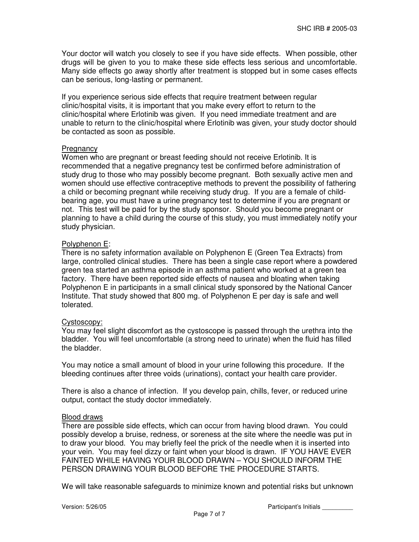Your doctor will watch you closely to see if you have side effects. When possible, other drugs will be given to you to make these side effects less serious and uncomfortable. Many side effects go away shortly after treatment is stopped but in some cases effects can be serious, long-lasting or permanent.

If you experience serious side effects that require treatment between regular clinic/hospital visits, it is important that you make every effort to return to the clinic/hospital where Erlotinib was given. If you need immediate treatment and are unable to return to the clinic/hospital where Erlotinib was given, your study doctor should be contacted as soon as possible.

## **Pregnancy**

Women who are pregnant or breast feeding should not receive Erlotinib. It is recommended that a negative pregnancy test be confirmed before administration of study drug to those who may possibly become pregnant. Both sexually active men and women should use effective contraceptive methods to prevent the possibility of fathering a child or becoming pregnant while receiving study drug. If you are a female of childbearing age, you must have a urine pregnancy test to determine if you are pregnant or not. This test will be paid for by the study sponsor. Should you become pregnant or planning to have a child during the course of this study, you must immediately notify your study physician.

# Polyphenon E:

There is no safety information available on Polyphenon E (Green Tea Extracts) from large, controlled clinical studies. There has been a single case report where a powdered green tea started an asthma episode in an asthma patient who worked at a green tea factory. There have been reported side effects of nausea and bloating when taking Polyphenon E in participants in a small clinical study sponsored by the National Cancer Institute. That study showed that 800 mg. of Polyphenon E per day is safe and well tolerated.

# Cystoscopy:

You may feel slight discomfort as the cystoscope is passed through the urethra into the bladder. You will feel uncomfortable (a strong need to urinate) when the fluid has filled the bladder.

You may notice a small amount of blood in your urine following this procedure. If the bleeding continues after three voids (urinations), contact your health care provider.

There is also a chance of infection. If you develop pain, chills, fever, or reduced urine output, contact the study doctor immediately.

# Blood draws

There are possible side effects, which can occur from having blood drawn. You could possibly develop a bruise, redness, or soreness at the site where the needle was put in to draw your blood. You may briefly feel the prick of the needle when it is inserted into your vein. You may feel dizzy or faint when your blood is drawn. IF YOU HAVE EVER FAINTED WHILE HAVING YOUR BLOOD DRAWN – YOU SHOULD INFORM THE PERSON DRAWING YOUR BLOOD BEFORE THE PROCEDURE STARTS.

We will take reasonable safeguards to minimize known and potential risks but unknown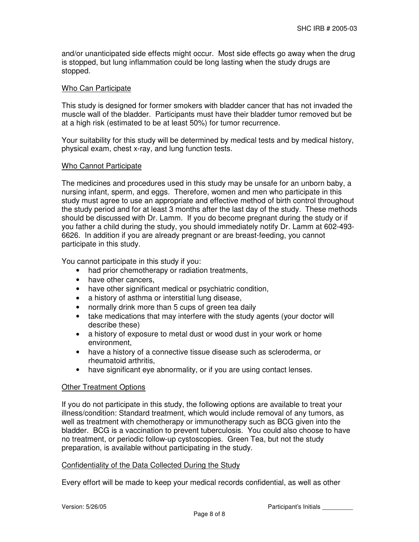and/or unanticipated side effects might occur. Most side effects go away when the drug is stopped, but lung inflammation could be long lasting when the study drugs are stopped.

## Who Can Participate

This study is designed for former smokers with bladder cancer that has not invaded the muscle wall of the bladder. Participants must have their bladder tumor removed but be at a high risk (estimated to be at least 50%) for tumor recurrence.

Your suitability for this study will be determined by medical tests and by medical history, physical exam, chest x-ray, and lung function tests.

# Who Cannot Participate

The medicines and procedures used in this study may be unsafe for an unborn baby, a nursing infant, sperm, and eggs. Therefore, women and men who participate in this study must agree to use an appropriate and effective method of birth control throughout the study period and for at least 3 months after the last day of the study. These methods should be discussed with Dr. Lamm. If you do become pregnant during the study or if you father a child during the study, you should immediately notify Dr. Lamm at 602-493- 6626. In addition if you are already pregnant or are breast-feeding, you cannot participate in this study.

You cannot participate in this study if you:

- had prior chemotherapy or radiation treatments,
- have other cancers.
- have other significant medical or psychiatric condition,
- a history of asthma or interstitial lung disease,
- normally drink more than 5 cups of green tea daily
- take medications that may interfere with the study agents (your doctor will describe these)
- a history of exposure to metal dust or wood dust in your work or home environment,
- have a history of a connective tissue disease such as scleroderma, or rheumatoid arthritis,
- have significant eye abnormality, or if you are using contact lenses.

## Other Treatment Options

If you do not participate in this study, the following options are available to treat your illness/condition: Standard treatment, which would include removal of any tumors, as well as treatment with chemotherapy or immunotherapy such as BCG given into the bladder. BCG is a vaccination to prevent tuberculosis. You could also choose to have no treatment, or periodic follow-up cystoscopies. Green Tea, but not the study preparation, is available without participating in the study.

## Confidentiality of the Data Collected During the Study

Every effort will be made to keep your medical records confidential, as well as other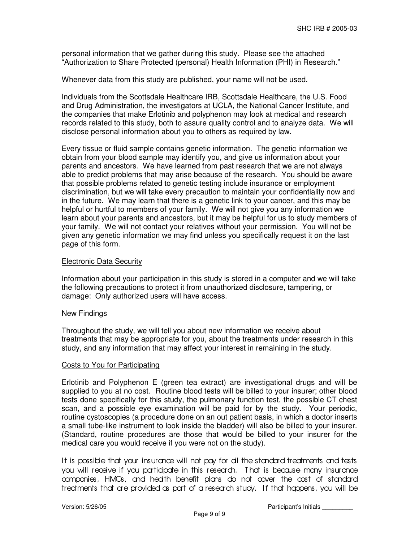personal information that we gather during this study. Please see the attached "Authorization to Share Protected (personal) Health Information (PHI) in Research."

Whenever data from this study are published, your name will not be used.

Individuals from the Scottsdale Healthcare IRB, Scottsdale Healthcare, the U.S. Food and Drug Administration, the investigators at UCLA, the National Cancer Institute, and the companies that make Erlotinib and polyphenon may look at medical and research records related to this study, both to assure quality control and to analyze data. We will disclose personal information about you to others as required by law.

Every tissue or fluid sample contains genetic information. The genetic information we obtain from your blood sample may identify you, and give us information about your parents and ancestors. We have learned from past research that we are not always able to predict problems that may arise because of the research. You should be aware that possible problems related to genetic testing include insurance or employment discrimination, but we will take every precaution to maintain your confidentiality now and in the future. We may learn that there is a genetic link to your cancer, and this may be helpful or hurtful to members of your family. We will not give you any information we learn about your parents and ancestors, but it may be helpful for us to study members of your family. We will not contact your relatives without your permission. You will not be given any genetic information we may find unless you specifically request it on the last page of this form.

### Electronic Data Security

Information about your participation in this study is stored in a computer and we will take the following precautions to protect it from unauthorized disclosure, tampering, or damage: Only authorized users will have access.

#### New Findings

Throughout the study, we will tell you about new information we receive about treatments that may be appropriate for you, about the treatments under research in this study, and any information that may affect your interest in remaining in the study.

#### Costs to You for Participating

Erlotinib and Polyphenon E (green tea extract) are investigational drugs and will be supplied to you at no cost. Routine blood tests will be billed to your insurer; other blood tests done specifically for this study, the pulmonary function test, the possible CT chest scan, and a possible eye examination will be paid for by the study. Your periodic, routine cystoscopies (a procedure done on an out patient basis, in which a doctor inserts a small tube-like instrument to look inside the bladder) will also be billed to your insurer. (Standard, routine procedures are those that would be billed to your insurer for the medical care you would receive if you were not on the study).

It is possible that your insurance will not pay for all the standard treatments and tests you will receive if you participate in this research. That is because many insurance companies, HMOs, and health benefit plans do not cover the cost of standard treatments that are provided as part of a research study. If that happens, you will be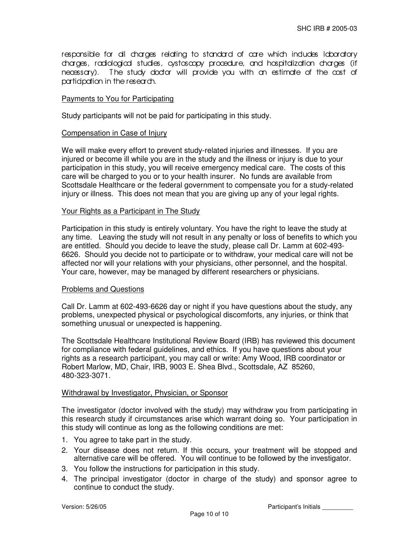responsible for all charges relating to standard of care which includes laboratory charges, radiological studies, cystoscopy procedure, and hospitalization charges (if necessary). T he study doctor will provide you with an estimate of the cost of participation in the research.

## Payments to You for Participating

Study participants will not be paid for participating in this study.

### Compensation in Case of Injury

We will make every effort to prevent study-related injuries and illnesses. If you are injured or become ill while you are in the study and the illness or injury is due to your participation in this study, you will receive emergency medical care. The costs of this care will be charged to you or to your health insurer. No funds are available from Scottsdale Healthcare or the federal government to compensate you for a study-related injury or illness. This does not mean that you are giving up any of your legal rights.

## Your Rights as a Participant in The Study

Participation in this study is entirely voluntary. You have the right to leave the study at any time. Leaving the study will not result in any penalty or loss of benefits to which you are entitled. Should you decide to leave the study, please call Dr. Lamm at 602-493- 6626. Should you decide not to participate or to withdraw, your medical care will not be affected nor will your relations with your physicians, other personnel, and the hospital. Your care, however, may be managed by different researchers or physicians.

#### Problems and Questions

Call Dr. Lamm at 602-493-6626 day or night if you have questions about the study, any problems, unexpected physical or psychological discomforts, any injuries, or think that something unusual or unexpected is happening.

The Scottsdale Healthcare Institutional Review Board (IRB) has reviewed this document for compliance with federal guidelines, and ethics. If you have questions about your rights as a research participant, you may call or write: Amy Wood, IRB coordinator or Robert Marlow, MD, Chair, IRB, 9003 E. Shea Blvd., Scottsdale, AZ 85260, 480-323-3071.

#### Withdrawal by Investigator, Physician, or Sponsor

The investigator (doctor involved with the study) may withdraw you from participating in this research study if circumstances arise which warrant doing so. Your participation in this study will continue as long as the following conditions are met:

- 1. You agree to take part in the study.
- 2. Your disease does not return. If this occurs, your treatment will be stopped and alternative care will be offered. You will continue to be followed by the investigator.
- 3. You follow the instructions for participation in this study.
- 4. The principal investigator (doctor in charge of the study) and sponsor agree to continue to conduct the study.